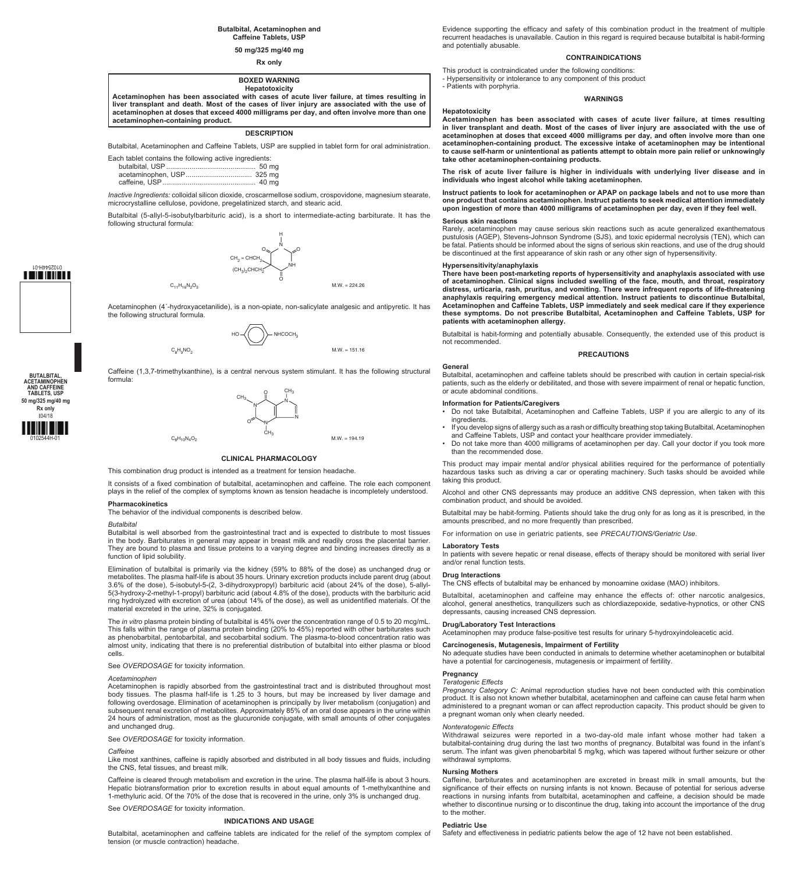# **Butalbital, Acetaminophen and Caffeine Tablets, USP**

# **50 mg/325 mg/40 mg**

**Rx only**

### **BOXED WARNING Hepatotoxicity**

**Acetaminophen has been associated with cases of acute liver failure, at times resulting in liver transplant and death. Most of the cases of liver injury are associated with the use of acetaminophen at doses that exceed 4000 milligrams per day, and often involve more than one acetaminophen-containing product.** 

# **DESCRIPTION**

Butalbital, Acetaminophen and Caffeine Tablets, USP are supplied in tablet form for oral administration.

| Each tablet contains the following active ingredients: |  |
|--------------------------------------------------------|--|
|                                                        |  |
|                                                        |  |
|                                                        |  |

Inactive Ingredients: colloidal silicon dioxide, croscarmellose sodium, crospovidone, magnesium stearate, microcrystalline cellulose, povidone, pregelatinized starch, and stearic acid.

Butalbital (5-allyl-5-isobutylbarbituric acid), is a short to intermediate-acting barbiturate. It has the following structural formula:

O



Acetaminophen (4΄-hydroxyacetanilide), is a non-opiate, non-salicylate analgesic and antipyretic. It has the following structural formula.

- NHCOCH<sub>3</sub>



### $CH_3\sim$   $\frac{1}{\sqrt{N}}$   $\frac{1}{\sqrt{N}}$  $CH<sub>3</sub>$ O O N N

 $CH_3$ 

 $C_8H_{10}N_4O_2$  M.W. = 194.19

N



# This combination drug product is intended as a treatment for tension headache.

It consists of a fixed combination of butalbital, acetaminophen and caffeine. The role each component

plays in the relief of the complex of symptoms known as tension headache is incompletely understood. **Pharmacokinetics**

The behavior of the individual components is described below.

# *Butalbital*

Butalbital is well absorbed from the gastrointestinal tract and is expected to distribute to most tissues in the body. Barbiturates in general may appear in breast milk and readily cross the placental barrier. They are bound to plasma and tissue proteins to a varying degree and binding increases directly as a function of lipid solubility.

Elimination of butalbital is primarily via the kidney (59% to 88% of the dose) as unchanged drug or metabolites. The plasma half-life is about 35 hours. Urinary excretion products include parent drug (about 3.6% of the dose), 5-isobutyl-5-(2, 3-dihydroxypropyl) barbituric acid (about 24% of the dose), 5-allyl-5(3-hydroxy-2-methyl-1-propyl) barbituric acid (about 4.8% of the dose), products with the barbituric acid ring hydrolyzed with excretion of urea (about 14% of the dose), as well as unidentified materials. Of the material excreted in the urine, 32% is conjugated.

The *in vitro* plasma protein binding of butalbital is 45% over the concentration range of 0.5 to 20 mcg/mL. This falls within the range of plasma protein binding (20% to 45%) reported with other barbiturates such as phenobarbital, pentobarbital, and secobarbital sodium. The plasma-to-blood concentration ratio was almost unity, indicating that there is no preferential distribution of butalbital into either plasma or blood cells.

# See *OVERDOSAGE* for toxicity information.

# *Acetaminophen*

Acetaminophen is rapidly absorbed from the gastrointestinal tract and is distributed throughout most body tissues. The plasma half-life is 1.25 to 3 hours, but may be increased by liver damage and following overdosage. Elimination of acetaminophen is principally by liver metabolism (conjugation) and subsequent renal excretion of metabolites. Approximately 85% of an oral dose appears in the urine within 24 hours of administration, most as the glucuronide conjugate, with small amounts of other conjugates and unchanged drug.

See *OVERDOSAGE* for toxicity information.

See *OVERDOSAGE* for toxicity information.

# *Caffeine*

Like most xanthines, caffeine is rapidly absorbed and distributed in all body tissues and fluids, including the CNS, fetal tissues, and breast milk.

Caffeine is cleared through metabolism and excretion in the urine. The plasma half-life is about 3 hours. Hepatic biotransformation prior to excretion results in about equal amounts of 1-methylxanthine and 1-methyluric acid. Of the 70% of the dose that is recovered in the urine, only 3% is unchanged drug.

# **INDICATIONS AND USAGE**

Butalbital, acetaminophen and caffeine tablets are indicated for the relief of the symptom complex of tension (or muscle contraction) headache.

Evidence supporting the efficacy and safety of this combination product in the treatment of multiple recurrent headaches is unavailable. Caution in this regard is required because butalbital is habit-forming and potentially abusable.

## **CONTRAINDICATIONS**

This product is contraindicated under the following conditions: - Hypersensitivity or intolerance to any component of this product

- Patients with porphyria.

# **WARNINGS**

**Hepatotoxicity**

**Acetaminophen has been associated with cases of acute liver failure, at times resulting in liver transplant and death. Most of the cases of liver injury are associated with the use of acetaminophen at doses that exceed 4000 milligrams per day, and often involve more than one acetaminophen-containing product. The excessive intake of acetaminophen may be intentional to cause self-harm or unintentional as patients attempt to obtain more pain relief or unknowingly take other acetaminophen-containing products.** 

**The risk of acute liver failure is higher in individuals with underlying liver disease and in individuals who ingest alcohol while taking acetaminophen.** 

**Instruct patients to look for acetaminophen or APAP on package labels and not to use more than one product that contains acetaminophen. Instruct patients to seek medical attention immediately upon ingestion of more than 4000 milligrams of acetaminophen per day, even if they feel well.**

### **Serious skin reactions**

Rarely, acetaminophen may cause serious skin reactions such as acute generalized exanthematous pustulosis (AGEP), Stevens-Johnson Syndrome (SJS), and toxic epidermal necrolysis (TEN), which can be fatal. Patients should be informed about the signs of serious skin reactions, and use of the drug should be discontinued at the first appearance of skin rash or any other sign of hypersensitivity.

### **Hypersensitivity/anaphylaxis**

**There have been post-marketing reports of hypersensitivity and anaphylaxis associated with use of acetaminophen. Clinical signs included swelling of the face, mouth, and throat, respiratory distress, urticaria, rash, pruritus, and vomiting. There were infrequent reports of life-threatening anaphylaxis requiring emergency medical attention. Instruct patients to discontinue Butalbital, Acetaminophen and Caffeine Tablets, USP immediately and seek medical care if they experience these symptoms. Do not prescribe Butalbital, Acetaminophen and Caffeine Tablets, USP for patients with acetaminophen allergy.**

Butalbital is habit-forming and potentially abusable. Consequently, the extended use of this product is not recommended.

# **PRECAUTIONS**

### **General**

Butalbital, acetaminophen and caffeine tablets should be prescribed with caution in certain special-risk patients, such as the elderly or debilitated, and those with severe impairment of renal or hepatic function, or acute abdominal conditions.

### **Information for Patients/Caregivers**

- Do not take Butalbital, Acetaminophen and Caffeine Tablets, USP if you are allergic to any of its ingredients.
- If you develop signs of allergy such as a rash or difficulty breathing stop taking Butalbital, Acetaminophen and Caffeine Tablets, USP and contact your healthcare provider immediately.
- Do not take more than 4000 milligrams of acetaminophen per day. Call your doctor if you took more than the recommended dose.

This product may impair mental and/or physical abilities required for the performance of potentially hazardous tasks such as driving a car or operating machinery. Such tasks should be avoided while taking this product.

Alcohol and other CNS depressants may produce an additive CNS depression, when taken with this combination product, and should be avoided.

Butalbital may be habit-forming. Patients should take the drug only for as long as it is prescribed, in the amounts prescribed, and no more frequently than prescribed.

For information on use in geriatric patients, see *PRECAUTIONS/Geriatric Use*.

# **Laboratory Tests**

In patients with severe hepatic or renal disease, effects of therapy should be monitored with serial liver and/or renal function tests.

**Drug Interactions** The CNS effects of butalbital may be enhanced by monoamine oxidase (MAO) inhibitors.

Butalbital, acetaminophen and caffeine may enhance the effects of: other narcotic analgesics, alcohol, general anesthetics, tranquilizers such as chlordiazepoxide, sedative-hypnotics, or other CNS depressants, causing increased CNS depression.

# **Drug/Laboratory Test Interactions**

Acetaminophen may produce false-positive test results for urinary 5-hydroxyindoleacetic acid.

**Carcinogenesis, Mutagenesis, Impairment of Fertility**

No adequate studies have been conducted in animals to determine whether acetaminophen or butalbital have a potential for carcinogenesis, mutagenesis or impairment of fertility.

# **Pregnancy** *Teratogenic Effects*

*Pregnancy Category C:* Animal reproduction studies have not been conducted with this combination product. It is also not known whether butalbital, acetaminophen and caffeine can cause fetal harm when administered to a pregnant woman or can affect reproduction capacity. This product should be given to a pregnant woman only when clearly needed.

### *Nonteratogenic Effects*

Withdrawal seizures were reported in a two-day-old male infant whose mother had taken a butalbital-containing drug during the last two months of pregnancy. Butalbital was found in the infant's serum. The infant was given phenobarbital 5 mg/kg, which was tapered without further seizure or other withdrawal symptoms.

### **Nursing Mothers**

Caffeine, barbiturates and acetaminophen are excreted in breast milk in small amounts, but the significance of their effects on nursing infants is not known. Because of potential for serious adverse reactions in nursing infants from butalbital, acetaminophen and caffeine, a decision should be made whether to discontinue nursing or to discontinue the drug, taking into account the importance of the drug to the mother.

# **Pediatric Use**

Safety and effectiveness in pediatric patients below the age of 12 have not been established.



**10-H++SZ010**